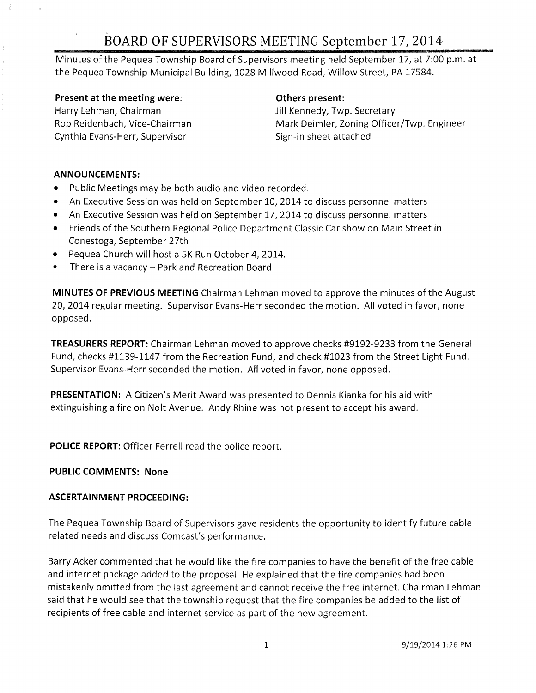# BOARD OF SUPERVISORS MEETING September 17} 2014

Minutes of the Pequea Township Board of Supervisors meeting held September 17, at 7:00 p.m. at the Pequea Township Municipal Building, 1028 Millwood Road, Willow Street, PA 17584.

Present at the meeting were: **Example 20** Others present: Harry Lehman, Chairman **Jill Kennedy, Twp. Secretary** Rob Reidenbach, Vice-Chairman Cynthia Evans-Herr, Supervisor

Mark Deimler, Zoning Officer/Twp. Engineer Sign-in sheet attached

#### ANNOUNCEMENTS:

- Public Meetings may be both audio and video recorded.
- An Executive Session was held on September 10, 2014 to discuss personnel matters
- An Executive Session was held on September 17, 2014 to discuss personnel matters
- Friends of the Southern Regional Police Department Classic Car show on Main Street in Conestoga, September 27th
- Pequea Church will host a 5K Run October 4, 2014.
- There is a vacancy Park and Recreation Board

MINUTES OF PREVIOUS MEETING Chairman Lehman moved to approve the minutes of the August 20, 2014 regular meeting. Supervisor Evans-Herr seconded the motion. All voted in favor, none opposed.

TREASURERS REPORT: Chairman Lehman moved to approve checks #9192-9233 from the General Fund, checks #1139-1147 from the Recreation Fund, and check #1023 from the Street Light Fund. Supervisor Evans-Herr seconded the motion. All voted in favor, none opposed.

PRESENTATION: A Citizen's Merit Award was presented to Dennis Kianka for his aid with extinguishing a fire on Nolt Avenue. Andy Rhine was not present to accept his award.

POLICE REPORT: Officer Ferrell read the police report.

## PUBLIC COMMENTS: None

## ASCERTAINMENT PROCEEDING:

The Pequea Township Board of Supervisors gave residents the opportunity to identify future cable related needs and discuss Comcast's performance.

Barry Acker commented that he would like the fire companies to have the benefit of the free cable and internet package added to the proposal. He explained that the fire companies had been mistakenly omitted from the last agreement and cannot receive the free internet. Chairman Lehman said that he would see that the township request that the fire companies be added to the list of recipients of free cable and internet service as part of the new agreement.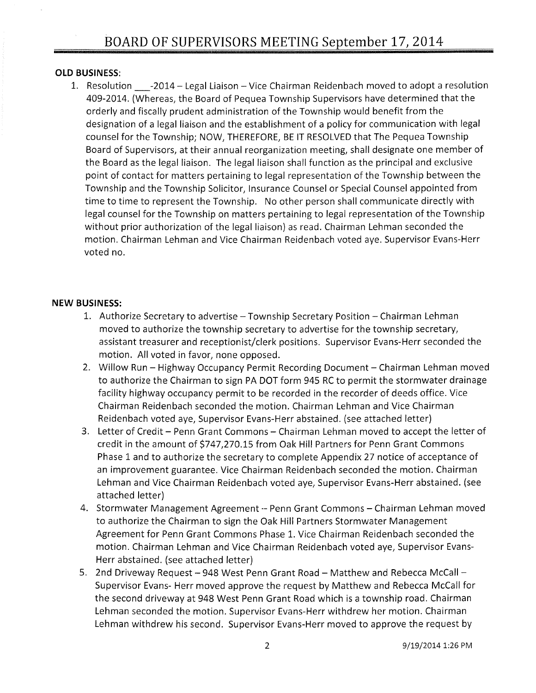### **OLD BUSINESS:**

1. Resolution  $-2014$  - Legal Liaison - Vice Chairman Reidenbach moved to adopt a resolution 409-2014. (Whereas, the Board of Pequea Township Supervisors have determined that the orderly and fiscally prudent administration of the Township would benefit from the designation of a legal liaison and the establishment of a policy for communication with legal counsel for the Township; NOW, THEREFORE, BE IT RESOLVED that The Pequea Township Board of Supervisors, at their annual reorganization meeting, shall designate one member of the Board as the legal liaison. The legal liaison shall function as the principal and exclusive point of contact for matters pertaining to legal representation of the Township between the Township and the Township Solicitor, Insurance Counsel or Special Counsel appointed from time to time to represent the Township. No other person shall communicate directly with legal counsel for the Township on matters pertaining to legal representation of the Township without prior authorization of the legal liaison) as read. Chairman Lehman seconded the motion. Chairman Lehman and Vice Chairman Reidenbach voted aye. Supervisor Evans-Herr voted no.

#### **NEW BUSINESS:**

- 1. Authorize Secretary to advertise Township Secretary Position Chairman Lehman moved to authorize the township secretary to advertise for the township secretary, assistant treasurer and receptionist/clerk positions. Supervisor Evans-Herr seconded the motion. All voted in favor, none opposed.
- 2. Willow Run Highway Occupancy Permit Recording Document Chairman Lehman moved to authorize the Chairman to sign PA DOT form 945 RC to permit the stormwater drainage facility highway occupancy permit to be recorded in the recorder of deeds office. Vice Chairman Reidenbach seconded the motion. Chairman Lehman and Vice Chairman Reidenbach voted aye, Supervisor Evans-Herr abstained. (see attached letter)
- 3. Letter of Credit Penn Grant Commons Chairman Lehman moved to accept the letter of credit in the amount of \$747,270.15 from Oak Hill Partners for Penn Grant Commons Phase 1 and to authorize the secretary to complete Appendix 27 notice of acceptance of an improvement guarantee. Vice Chairman Reidenbach seconded the motion. Chairman Lehman and Vice Chairman Reidenbach voted aye, Supervisor Evans-Herr abstained. (see attached letter)
- 4. Stormwater Management Agreement -- Penn Grant Commons Chairman Lehman moved to authorize the Chairman to sign the Oak Hill Partners Stormwater Management Agreement for Penn Grant Commons Phase 1. Vice Chairman Reidenbach seconded the motion. Chairman Lehman and Vice Chairman Reidenbach voted aye, Supervisor Evans-Herr abstained. (see attached letter)
- 5. 2nd Driveway Request 948 West Penn Grant Road Matthew and Rebecca McCall -Supervisor Evans- Herr moved approve the request by Matthew and Rebecca McCall for the second driveway at 948 West Penn Grant Road which is a township road. Chairman Lehman seconded the motion. Supervisor Evans-Herr withdrew her motion. Chairman Lehman withdrew his second. Supervisor Evans-Herr moved to approve the request by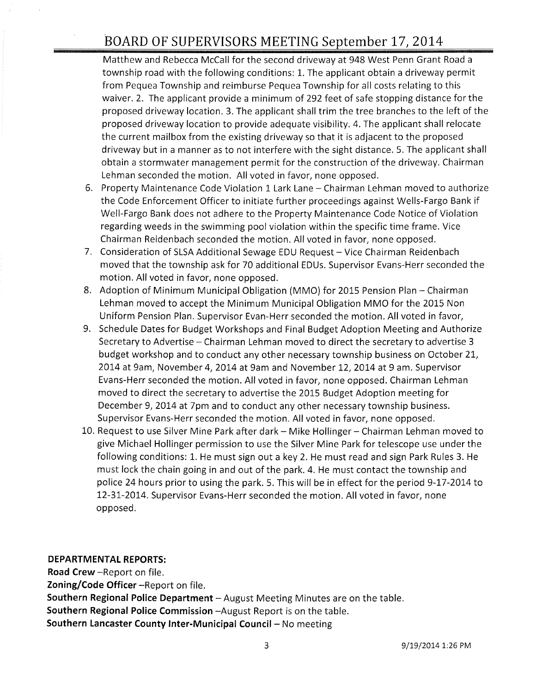# BOARD OF SUPERVISORS MEETING September 17, 2014

Matthew and Rebecca McCall for the second driveway at 948 West Penn Grant Road a township road with the following conditions: 1. The applicant obtain a driveway permit from Pequea Township and reimburse Pequea Township for all costs relating to this waiver. 2. The applicant provide a minimum of 292 feet of safe stopping distance for the proposed driveway location. 3. The applicant shall trim the tree branches to the left of the proposed driveway location to provide adequate visibility. 4. The applicant shall relocate the current mailbox from the existing driveway so that it is adjacent to the proposed driveway but in a manner as to not interfere with the sight distance. 5. The applicant shall obtain a stormwater management permit for the construction of the driveway. Chairman Lehman seconded the motion. All voted in favor, none opposed.

- 6. Property Maintenance Code Violation 1 Lark Lane Chairman Lehman moved to authorize the Code Enforcement Officer to initiate further proceedings against Wells-Fargo Bank if Well-Fargo Bank does not adhere to the Property Maintenance Code Notice of Violation regarding weeds in the swimming pool violation within the specific time frame. Vice Chairman Reidenbach seconded the motion. All voted in favor, none opposed.
- 7. Consideration of SLSA Additional Sewage EDU Request Vice Chairman Reidenbach moved that the township ask for 70 additional EDUs. Supervisor Evans-Herr seconded the motion. All voted in favor, none opposed.
- 8. Adoption of Minimum Municipal Obligation (MMO) for 2015 Pension Plan Chairman Lehman moved to accept the Minimum Municipal Obligation MMO for the 2015 Non Uniform Pension Plan. Supervisor Evan-Herr seconded the motion. All voted in favor,
- 9. Schedule Dates for Budget Workshops and Final Budget Adoption Meeting and Authorize Secretary to Advertise - Chairman Lehman moved to direct the secretary to advertise 3 budget workshop and to conduct any other necessary township business on October 21, 2014 at 9am, November 4,2014 at 9am and November 12, 2014 at 9 am. Supervisor Evans-Herr seconded the motion. All voted in favor, none opposed. Chairman Lehman moved to direct the secretary to advertise the 2015 Budget Adoption meeting for December 9, 2014 at 7pm and to conduct any other necessary township business. Supervisor Evans-Herr seconded the motion. All voted in favor, none opposed.
- 10. Request to use Silver Mine Park after dark Mike Hollinger Chairman Lehman moved to give Michael Hollinger permission to use the Silver Mine Park for telescope use under the following conditions: 1. He must sign out a key 2. He must read and sign Park Rules 3. He must lock the chain going in and out of the park. 4. He must contact the township and police 24 hours prior to using the park. 5. This will be in effect for the period 9-17-2014 to 12-31-2014. Supervisor Evans-Herr seconded the motion. All voted in favor, none opposed.

#### **DEPARTMENTAL REPORTS:**

**Road Crew** -Report on file.

**Zoning/Code Officer** -Report on file.

**Southern Regional Police Department** - August Meeting Minutes are on the table.

**Southern Regional Police Commission** -August Report is on the table.

**Southern Lancaster County Inter-Municipal Council - No meeting**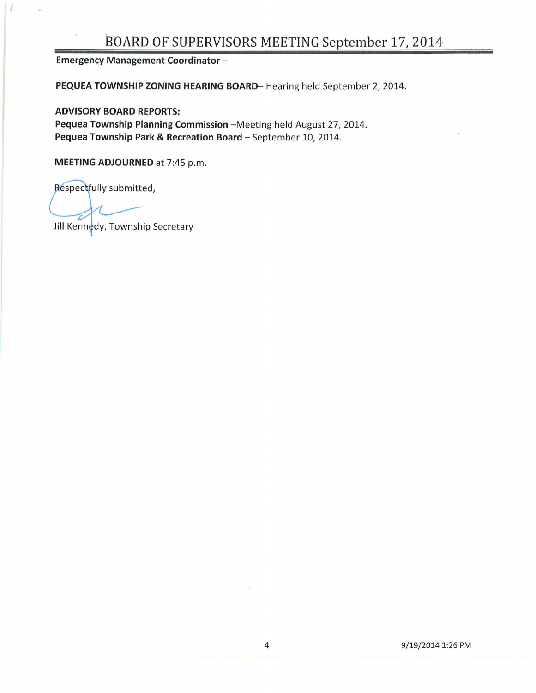## BOARD OF SUPERVISORS MEETING September 17, 2014

Emergency Management Coordinator -

PEQUEA TOWNSHIP ZONING HEARING BOARD-Hearing held September 2, 2014.

ADVISORY BOARD REPORTS: Pequea Township Planning Commission - Meeting held August 27, 2014. Pequea Township Park & Recreation Board - September 10, 2014.

MEETING ADJOURNED at 7:45 p.m.

Respectfully submitted,

Jill Kennedy, Township Secretary